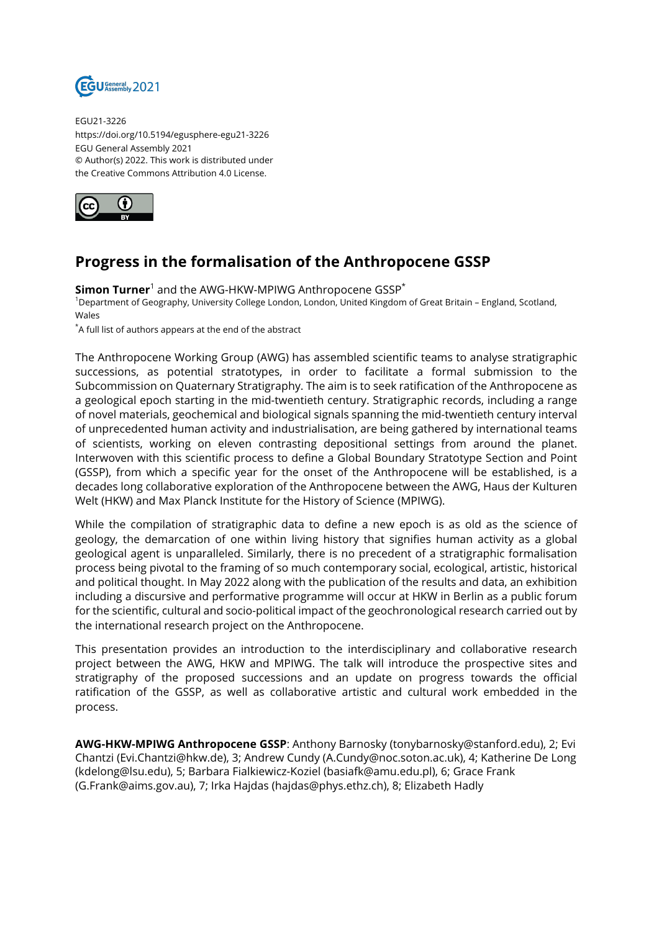

EGU21-3226 https://doi.org/10.5194/egusphere-egu21-3226 EGU General Assembly 2021 © Author(s) 2022. This work is distributed under the Creative Commons Attribution 4.0 License.



## **Progress in the formalisation of the Anthropocene GSSP**

 $\mathsf{Simon\, Turner}^1$  and the AWG-HKW-MPIWG Anthropocene GSSP $^*$ 

<sup>1</sup>Department of Geography, University College London, London, United Kingdom of Great Britain – England, Scotland, Wales

\*A full list of authors appears at the end of the abstract

The Anthropocene Working Group (AWG) has assembled scientific teams to analyse stratigraphic successions, as potential stratotypes, in order to facilitate a formal submission to the Subcommission on Quaternary Stratigraphy. The aim is to seek ratification of the Anthropocene as a geological epoch starting in the mid-twentieth century. Stratigraphic records, including a range of novel materials, geochemical and biological signals spanning the mid-twentieth century interval of unprecedented human activity and industrialisation, are being gathered by international teams of scientists, working on eleven contrasting depositional settings from around the planet. Interwoven with this scientific process to define a Global Boundary Stratotype Section and Point (GSSP), from which a specific year for the onset of the Anthropocene will be established, is a decades long collaborative exploration of the Anthropocene between the AWG, Haus der Kulturen Welt (HKW) and Max Planck Institute for the History of Science (MPIWG).

While the compilation of stratigraphic data to define a new epoch is as old as the science of geology, the demarcation of one within living history that signifies human activity as a global geological agent is unparalleled. Similarly, there is no precedent of a stratigraphic formalisation process being pivotal to the framing of so much contemporary social, ecological, artistic, historical and political thought. In May 2022 along with the publication of the results and data, an exhibition including a discursive and performative programme will occur at HKW in Berlin as a public forum for the scientific, cultural and socio-political impact of the geochronological research carried out by the international research project on the Anthropocene.

This presentation provides an introduction to the interdisciplinary and collaborative research project between the AWG, HKW and MPIWG. The talk will introduce the prospective sites and stratigraphy of the proposed successions and an update on progress towards the official ratification of the GSSP, as well as collaborative artistic and cultural work embedded in the process.

**AWG-HKW-MPIWG Anthropocene GSSP**: Anthony Barnosky (tonybarnosky@stanford.edu), 2; Evi Chantzi (Evi.Chantzi@hkw.de), 3; Andrew Cundy (A.Cundy@noc.soton.ac.uk), 4; Katherine De Long (kdelong@lsu.edu), 5; Barbara Fialkiewicz-Koziel (basiafk@amu.edu.pl), 6; Grace Frank (G.Frank@aims.gov.au), 7; Irka Hajdas (hajdas@phys.ethz.ch), 8; Elizabeth Hadly